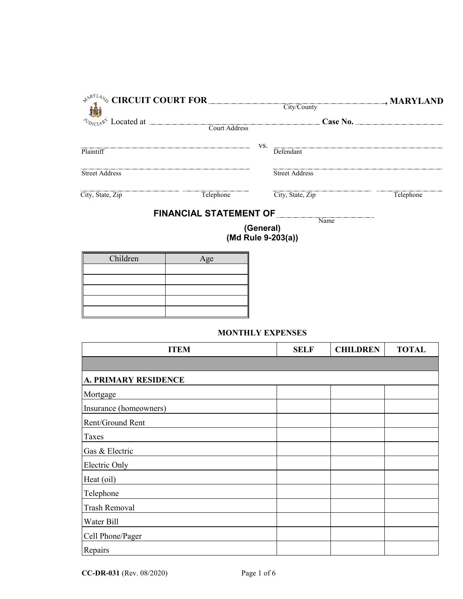|                                                                                                        |                               |           |                            | , MARYLAND |
|--------------------------------------------------------------------------------------------------------|-------------------------------|-----------|----------------------------|------------|
| $\frac{1}{\sqrt{2}}$ CIRCUIT COURT FOR<br>City/County<br>$\frac{1}{\sqrt{2}}$ Located at Court Address |                               |           |                            | Case No.   |
| Plaintiff                                                                                              |                               | VS.       | Defendant                  |            |
| <b>Street Address</b>                                                                                  |                               |           | <b>Street Address</b>      |            |
| City, State, Zip                                                                                       | Telephone                     |           | City, State, Zip           | Telephone  |
|                                                                                                        | <b>FINANCIAL STATEMENT OF</b> |           |                            |            |
|                                                                                                        |                               | (General) | Name<br>(Md Rule 9-203(a)) |            |
| Children                                                                                               | Age                           |           |                            |            |

| Children | Age |
|----------|-----|
|          |     |
|          |     |
|          |     |
|          |     |
|          |     |

## **MONTHLY EXPENSES**

| <b>ITEM</b>                 | <b>SELF</b> | <b>CHILDREN</b> | <b>TOTAL</b> |
|-----------------------------|-------------|-----------------|--------------|
|                             |             |                 |              |
| <b>A. PRIMARY RESIDENCE</b> |             |                 |              |
| Mortgage                    |             |                 |              |
| Insurance (homeowners)      |             |                 |              |
| Rent/Ground Rent            |             |                 |              |
| Taxes                       |             |                 |              |
| Gas & Electric              |             |                 |              |
| Electric Only               |             |                 |              |
| Heat (oil)                  |             |                 |              |
| Telephone                   |             |                 |              |
| <b>Trash Removal</b>        |             |                 |              |
| Water Bill                  |             |                 |              |
| Cell Phone/Pager            |             |                 |              |
| Repairs                     |             |                 |              |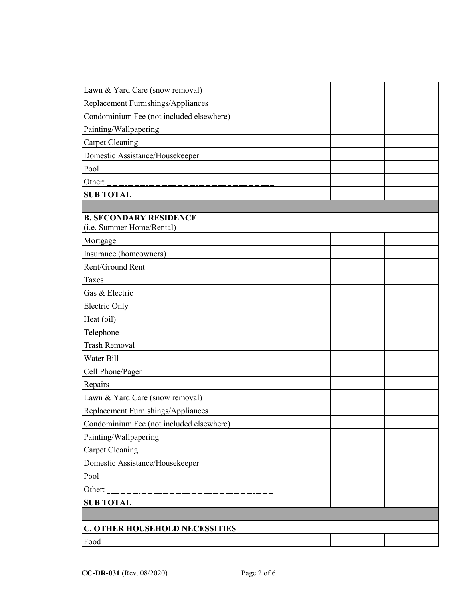| Lawn & Yard Care (snow removal)                            |  |  |
|------------------------------------------------------------|--|--|
| Replacement Furnishings/Appliances                         |  |  |
| Condominium Fee (not included elsewhere)                   |  |  |
| Painting/Wallpapering                                      |  |  |
| <b>Carpet Cleaning</b>                                     |  |  |
| Domestic Assistance/Housekeeper                            |  |  |
| Pool                                                       |  |  |
| Other:                                                     |  |  |
| <b>SUB TOTAL</b>                                           |  |  |
|                                                            |  |  |
| <b>B. SECONDARY RESIDENCE</b><br>(i.e. Summer Home/Rental) |  |  |
| Mortgage                                                   |  |  |
| Insurance (homeowners)                                     |  |  |
| Rent/Ground Rent                                           |  |  |
| Taxes                                                      |  |  |
| Gas & Electric                                             |  |  |
| Electric Only                                              |  |  |
| Heat (oil)                                                 |  |  |
| Telephone                                                  |  |  |
| <b>Trash Removal</b>                                       |  |  |
| Water Bill                                                 |  |  |
| Cell Phone/Pager                                           |  |  |
| Repairs                                                    |  |  |
| Lawn & Yard Care (snow removal)                            |  |  |
| Replacement Furnishings/Appliances                         |  |  |
| Condominium Fee (not included elsewhere)                   |  |  |
| Painting/Wallpapering                                      |  |  |
| <b>Carpet Cleaning</b>                                     |  |  |
| Domestic Assistance/Housekeeper                            |  |  |
| Pool                                                       |  |  |
| Other:                                                     |  |  |
| <b>SUB TOTAL</b>                                           |  |  |
|                                                            |  |  |
| C. OTHER HOUSEHOLD NECESSITIES                             |  |  |
| Food                                                       |  |  |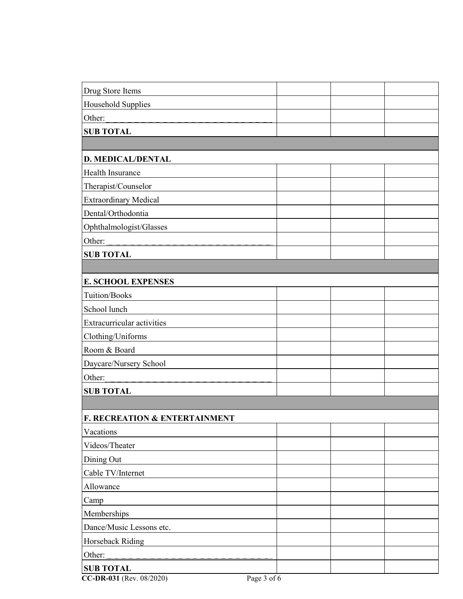| Drug Store Items                                                           |  |  |
|----------------------------------------------------------------------------|--|--|
| Household Supplies                                                         |  |  |
| Other:                                                                     |  |  |
| <b>SUB TOTAL</b>                                                           |  |  |
|                                                                            |  |  |
| <b>D. MEDICAL/DENTAL</b>                                                   |  |  |
| Health Insurance                                                           |  |  |
| Therapist/Counselor                                                        |  |  |
| <b>Extraordinary Medical</b>                                               |  |  |
| Dental/Orthodontia                                                         |  |  |
| Ophthalmologist/Glasses                                                    |  |  |
| Other:                                                                     |  |  |
| <b>SUB TOTAL</b>                                                           |  |  |
|                                                                            |  |  |
| <b>E. SCHOOL EXPENSES</b>                                                  |  |  |
| Tuition/Books                                                              |  |  |
| School lunch                                                               |  |  |
| Extracurricular activities                                                 |  |  |
| Clothing/Uniforms                                                          |  |  |
| Room & Board                                                               |  |  |
| Daycare/Nursery School                                                     |  |  |
| Other:                                                                     |  |  |
| <b>SUB TOTAL</b>                                                           |  |  |
|                                                                            |  |  |
| <b>F. RECREATION &amp; ENTERTAINMENT</b>                                   |  |  |
| Vacations                                                                  |  |  |
| Videos/Theater                                                             |  |  |
| Dining Out                                                                 |  |  |
| Cable TV/Internet                                                          |  |  |
| Allowance                                                                  |  |  |
| Camp                                                                       |  |  |
| Memberships                                                                |  |  |
| Dance/Music Lessons etc.                                                   |  |  |
| Horseback Riding                                                           |  |  |
| Other:                                                                     |  |  |
| <b>SUB TOTAL</b><br>$\sqrt{D}$<br>0.00000<br>$\mathbf{D}$<br>$\gamma$<br>c |  |  |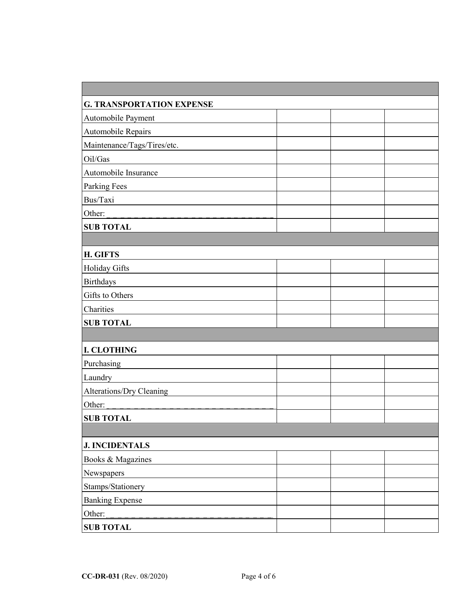| <b>G. TRANSPORTATION EXPENSE</b> |  |  |
|----------------------------------|--|--|
| Automobile Payment               |  |  |
| Automobile Repairs               |  |  |
| Maintenance/Tags/Tires/etc.      |  |  |
| Oil/Gas                          |  |  |
| Automobile Insurance             |  |  |
| <b>Parking Fees</b>              |  |  |
| Bus/Taxi                         |  |  |
| Other:                           |  |  |
| <b>SUB TOTAL</b>                 |  |  |
|                                  |  |  |
| H. GIFTS                         |  |  |
| Holiday Gifts                    |  |  |
| <b>Birthdays</b>                 |  |  |
| Gifts to Others                  |  |  |
| Charities                        |  |  |
| <b>SUB TOTAL</b>                 |  |  |
|                                  |  |  |
| <b>I. CLOTHING</b>               |  |  |
| Purchasing                       |  |  |
| Laundry                          |  |  |
| Alterations/Dry Cleaning         |  |  |
| Other:                           |  |  |
| <b>SUB TOTAL</b>                 |  |  |
|                                  |  |  |
| <b>J. INCIDENTALS</b>            |  |  |
| Books & Magazines                |  |  |
| Newspapers                       |  |  |
| Stamps/Stationery                |  |  |
| <b>Banking Expense</b>           |  |  |
| Other:                           |  |  |
| <b>SUB TOTAL</b>                 |  |  |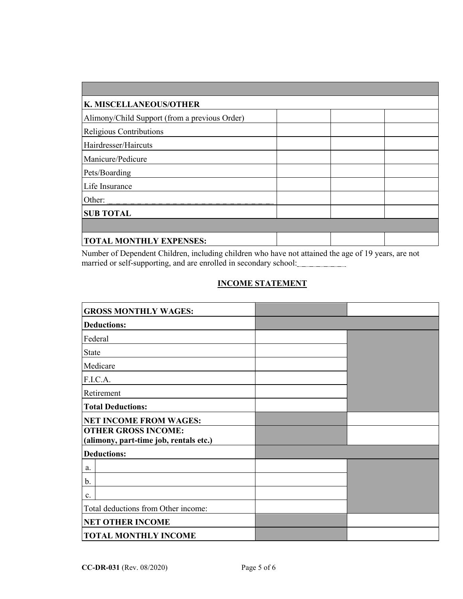| K. MISCELLANEOUS/OTHER                        |  |  |  |  |
|-----------------------------------------------|--|--|--|--|
| Alimony/Child Support (from a previous Order) |  |  |  |  |
| Religious Contributions                       |  |  |  |  |
| Hairdresser/Haircuts                          |  |  |  |  |
| Manicure/Pedicure                             |  |  |  |  |
| Pets/Boarding                                 |  |  |  |  |
| Life Insurance                                |  |  |  |  |
|                                               |  |  |  |  |
| <b>SUB TOTAL</b>                              |  |  |  |  |
|                                               |  |  |  |  |
| <b>TOTAL MONTHLY EXPENSES:</b>                |  |  |  |  |

Number of Dependent Children, including children who have not attained the age of 19 years, are not married or self-supporting, and are enrolled in secondary school:

## **INCOME STATEMENT**

| <b>GROSS MONTHLY WAGES:</b>            |  |
|----------------------------------------|--|
| <b>Deductions:</b>                     |  |
| Federal                                |  |
| <b>State</b>                           |  |
| Medicare                               |  |
| F.I.C.A.                               |  |
| Retirement                             |  |
| <b>Total Deductions:</b>               |  |
| <b>NET INCOME FROM WAGES:</b>          |  |
| <b>OTHER GROSS INCOME:</b>             |  |
| (alimony, part-time job, rentals etc.) |  |
| <b>Deductions:</b>                     |  |
| a.                                     |  |
| b.                                     |  |
| c.                                     |  |
| Total deductions from Other income:    |  |
| <b>NET OTHER INCOME</b>                |  |
| <b>TOTAL MONTHLY INCOME</b>            |  |